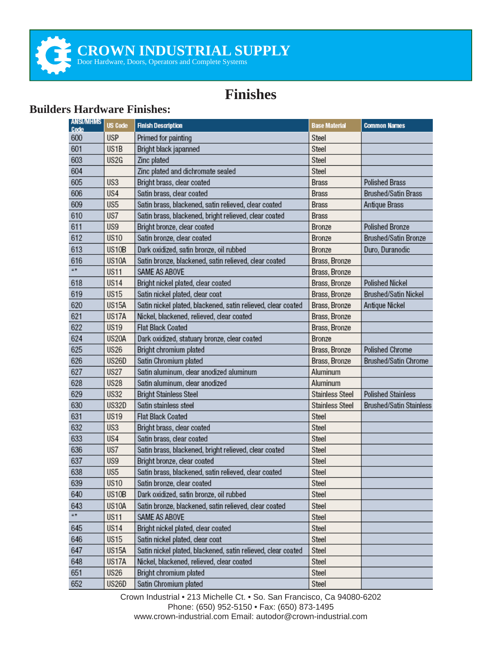**CROWN INDUSTRIAL SUPPLY**

#### Door Hardware, Doors, Operators and Complete Systems

## **Finishes**

### **Builders Hardware Finishes:**

| <b>ANSI/MHMS</b><br>Code | <b>US Code</b> | <b>Finish Description</b>                                    | <b>Base Material</b>   | <b>Common Names</b>       |
|--------------------------|----------------|--------------------------------------------------------------|------------------------|---------------------------|
| 600                      | <b>USP</b>     | Primed for painting                                          | Steel                  |                           |
| 601                      | US1B           | Bright black japanned                                        | Steel                  |                           |
| 603                      | US2G           | Zinc plated                                                  | Steel                  |                           |
| 604                      |                | Zinc plated and dichromate sealed                            | Steel                  |                           |
| 605                      | US3            | Bright brass, clear coated                                   | <b>Brass</b>           | <b>Polished Brass</b>     |
| 606                      | US4            | Satin brass, clear coated                                    | <b>Brass</b>           | Brushed/Satin Brass       |
| 609                      | US5            | Satin brass, blackened, satin relieved, clear coated         | <b>Brass</b>           | Antique Brass             |
| 610                      | US7            | Satin brass, blackened, bright relieved, clear coated        | Brass                  |                           |
| 611                      | US9            | Bright bronze, clear coated                                  | Bronze                 | Polished Bronze           |
| 612                      | <b>US10</b>    | Satin bronze, clear coated                                   | Bronze                 | Brushed/Satin Bronze      |
| 613                      | US10B          | Dark oxidized, satin bronze, oil rubbed                      | Bronze                 | Duro, Duranodic           |
| 616                      | US10A          | Satin bronze, blackened, satin relieved, clear coated        | Brass, Bronze          |                           |
| a n                      | <b>US11</b>    | SAME AS ABOVE                                                | Brass, Bronze          |                           |
| 618                      | <b>US14</b>    | Bright nickel plated, clear coated                           | Brass, Bronze          | Polished Nickel           |
| 619                      | <b>US15</b>    | Satin nickel plated, clear coat                              | Brass, Bronze          | Brushed/Satin Nickel      |
| 620                      | <b>US15A</b>   | Satin nickel plated, blackened, satin relieved, clear coated | Brass, Bronze          | Antique Nickel            |
| 621                      | US17A          | Nickel, blackened, relieved, clear coated                    | Brass, Bronze          |                           |
| 622                      | <b>US19</b>    | <b>Flat Black Coated</b>                                     | Brass, Bronze          |                           |
| 624                      | US20A          | Dark oxidized, statuary bronze, clear coated                 | Bronze                 |                           |
| 625                      | <b>US26</b>    | Bright chromium plated                                       | Brass, Bronze          | Polished Chrome           |
| 626                      | <b>US26D</b>   | Satin Chromium plated                                        | Brass, Bronze          | Brushed/Satin Chrome      |
| 627                      | US27           | Satin aluminum, clear anodized aluminum                      | Aluminum               |                           |
| 628                      | US28           | Satin aluminum, clear anodized                               | Aluminum               |                           |
| 629                      | <b>US32</b>    | Bright Stainless Steel                                       | <b>Stainless Steel</b> | <b>Polished Stainless</b> |
| 630                      | US32D          | Satin stainless steel                                        | <b>Stainless Steel</b> | Brushed/Satin Stainless   |
| 631                      | <b>US19</b>    | Flat Black Coated                                            | Steel                  |                           |
| 632                      | US3            | Bright brass, clear coated                                   | Steel                  |                           |
| 633                      | US4            | Satin brass, clear coated                                    | Steel                  |                           |
| 636                      | US7            | Satin brass, blackened, bright relieved, clear coated        | Steel                  |                           |
| 637                      | US9            | Bright bronze, clear coated                                  | Steel                  |                           |
| 638                      | US5            | Satin brass, blackened, satin relieved, clear coated         | Steel                  |                           |
| 639                      | <b>US10</b>    | Satin bronze, clear coated                                   | Steel                  |                           |
| 640                      | US10B          | Dark oxidized, satin bronze, oil rubbed                      | Steel                  |                           |
| 643                      | US10A          | Satin bronze, blackened, satin relieved, clear coated        | Steel                  |                           |
| a n                      | <b>US11</b>    | SAME AS ABOVE                                                | Steel                  |                           |
| 645                      | US14           | Bright nickel plated, clear coated                           | Steel                  |                           |
| 646                      | US15           | Satin nickel plated, clear coat                              | Steel                  |                           |
| 647                      | US15A          | Satin nickel plated, blackened, satin relieved, clear coated | Steel                  |                           |
| 648                      | US17A          | Nickel, blackened, relieved, clear coated                    | Steel                  |                           |
| 651                      | US26           | Bright chromium plated                                       | Steel                  |                           |
| 652                      | US26D          | Satin Chromium plated                                        | Steel                  |                           |

Crown Industrial • 213 Michelle Ct. • So. San Francisco, Ca 94080-6202 Phone: (650) 952-5150 • Fax: (650) 873-1495 www.crown-industrial.com Email: autodor@crown-industrial.com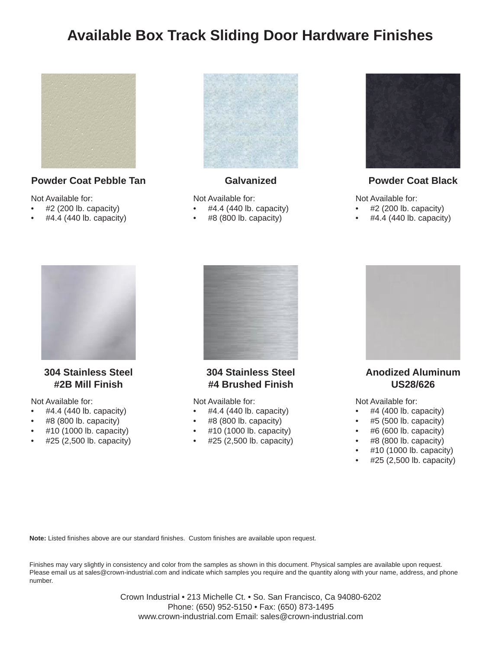## **Available Box Track Sliding Door Hardware Finishes**



#### **Powder Coat Pebble Tan**

Not Available for:

- $#2$  (200 lb. capacity)
- #4.4 (440 lb. capacity)



#### **Galvanized**

Not Available for:

- #4.4 (440 lb. capacity)
- #8 (800 lb. capacity)



#### **Powder Coat Black**

Not Available for:

- $#2$  (200 lb. capacity)
- $\bullet$  #4.4 (440 lb. capacity)



#### **304 Stainless Steel #2B Mill Finish**

Not Available for:

- #4.4 (440 lb. capacity)
- $#8$  (800 lb. capacity)
- #10 (1000 lb. capacity)
- #25 (2,500 lb. capacity)



**304 Stainless Steel #4 Brushed Finish**

Not Available for:

- #4.4 (440 lb. capacity)
- #8 (800 lb. capacity)
- #10 (1000 lb. capacity)
- #25 (2,500 lb. capacity)



#### **Anodized Aluminum US28/626**

Not Available for:

- $#4$  (400 lb. capacity)
- $\bullet$  #5 (500 lb. capacity)
- #6 (600 lb. capacity)
- #8 (800 lb. capacity)
- #10 (1000 lb. capacity)
- #25 (2,500 lb. capacity)

Note: Listed finishes above are our standard finishes. Custom finishes are available upon request.

Finishes may vary slightly in consistency and color from the samples as shown in this document. Physical samples are available upon request. Please email us at sales@crown-industrial.com and indicate which samples you require and the quantity along with your name, address, and phone number.

> Crown Industrial • 213 Michelle Ct. • So. San Francisco, Ca 94080-6202 Phone: (650) 952-5150 • Fax: (650) 873-1495 www.crown-industrial.com Email: sales@crown-industrial.com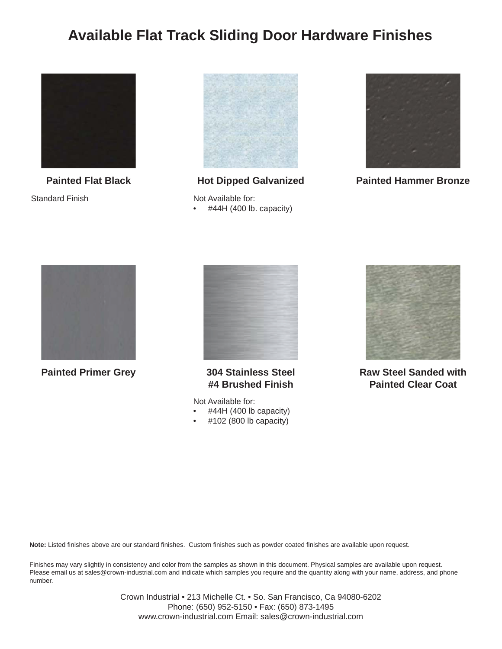## **Available Flat Track Sliding Door Hardware Finishes**



**Painted Flat Black** Standard Finish



**Hot Dipped Galvanized**

Not Available for:

 $\bullet$  #44H (400 lb. capacity)



**Painted Hammer Bronze**



**Painted Primer Grey**



**304 Stainless Steel #4 Brushed Finish**

Not Available for:

- #44H (400 lb capacity)
- #102 (800 lb capacity)



**Raw Steel Sanded with Painted Clear Coat**

Note: Listed finishes above are our standard finishes. Custom finishes such as powder coated finishes are available upon request.

Finishes may vary slightly in consistency and color from the samples as shown in this document. Physical samples are available upon request. Please email us at sales@crown-industrial.com and indicate which samples you require and the quantity along with your name, address, and phone number.

> Crown Industrial • 213 Michelle Ct. • So. San Francisco, Ca 94080-6202 Phone: (650) 952-5150 • Fax: (650) 873-1495 www.crown-industrial.com Email: sales@crown-industrial.com